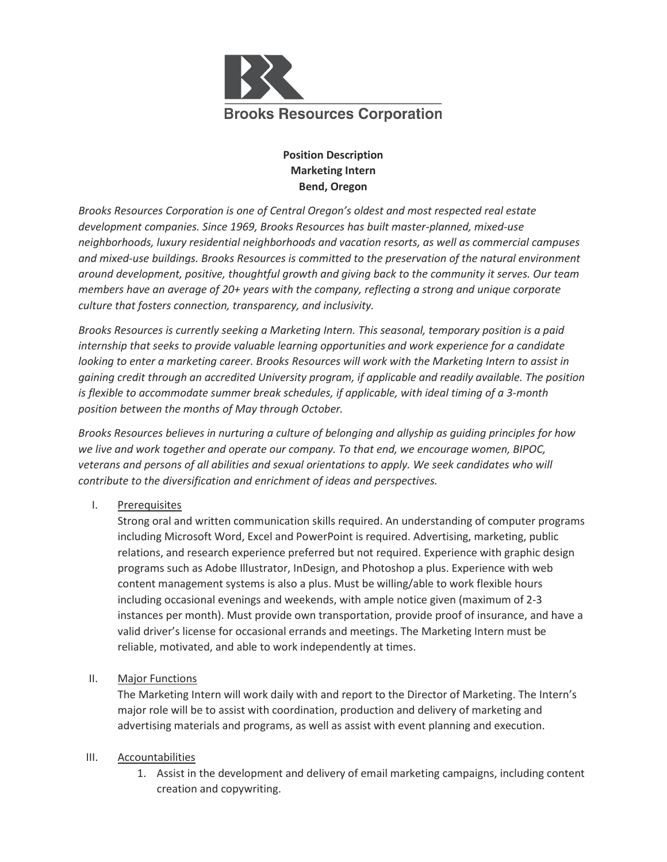

## **Position Description Marketing Intern Bend, Oregon**

*Brooks Resources Corporation is one of Central Oregon's oldest and most respected real estate development companies. Since 1969, Brooks Resources has built master-planned, mixed-use neighborhoods, luxury residential neighborhoods and vacation resorts, as well as commercial campuses and mixed-use buildings. Brooks Resources is committed to the preservation of the natural environment around development, positive, thoughtful growth and giving back to the community it serves. Our team members have an average of 20+ years with the company, reflecting a strong and unique corporate culture that fosters connection, transparency, and inclusivity.*

*Brooks Resources is currently seeking a Marketing Intern. This seasonal, temporary position is a paid internship that seeks to provide valuable learning opportunities and work experience for a candidate looking to enter a marketing career. Brooks Resources will work with the Marketing Intern to assist in gaining credit through an accredited University program, if applicable and readily available. The position is flexible to accommodate summer break schedules, if applicable, with ideal timing of a 3-month position between the months of May through October.* 

*Brooks Resources believes in nurturing a culture of belonging and allyship as guiding principles for how we live and work together and operate our company. To that end, we encourage women, BIPOC, veterans and persons of all abilities and sexual orientations to apply. We seek candidates who will contribute to the diversification and enrichment of ideas and perspectives.* 

I. Prerequisites

Strong oral and written communication skills required. An understanding of computer programs including Microsoft Word, Excel and PowerPoint is required. Advertising, marketing, public relations, and research experience preferred but not required. Experience with graphic design programs such as Adobe Illustrator, InDesign, and Photoshop a plus. Experience with web content management systems is also a plus. Must be willing/able to work flexible hours including occasional evenings and weekends, with ample notice given (maximum of 2-3 instances per month). Must provide own transportation, provide proof of insurance, and have a valid driver's license for occasional errands and meetings. The Marketing Intern must be reliable, motivated, and able to work independently at times.

II. Major Functions

The Marketing Intern will work daily with and report to the Director of Marketing. The Intern's major role will be to assist with coordination, production and delivery of marketing and advertising materials and programs, as well as assist with event planning and execution.

## III. Accountabilities

1. Assist in the development and delivery of email marketing campaigns, including content creation and copywriting.